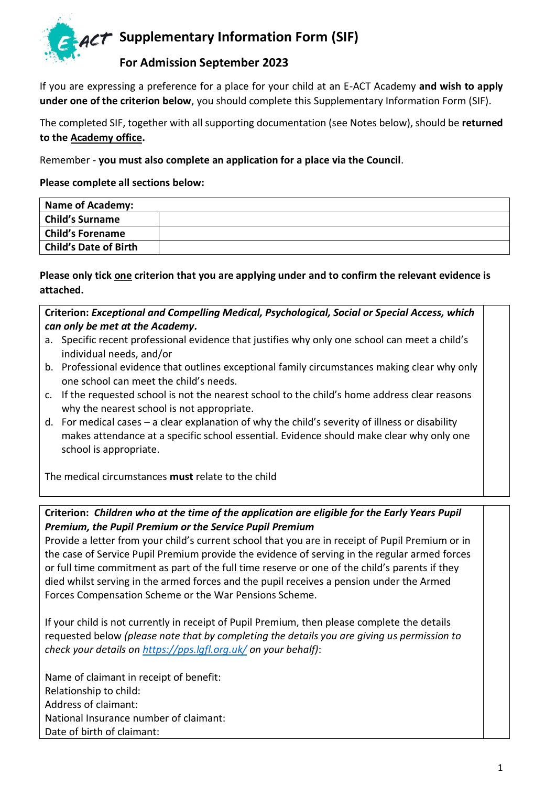

## **For Admission September 2023**

If you are expressing a preference for a place for your child at an E-ACT Academy **and wish to apply under one of the criterion below**, you should complete this Supplementary Information Form (SIF).

The completed SIF, together with all supporting documentation (see Notes below), should be **returned to the Academy office.**

Remember - **you must also complete an application for a place via the Council**.

**Please complete all sections below:** 

| Name of Academy:        |  |
|-------------------------|--|
| <b>Child's Surname</b>  |  |
| <b>Child's Forename</b> |  |
| Child's Date of Birth   |  |

**Please only tick one criterion that you are applying under and to confirm the relevant evidence is attached.** 

**Criterion:** *Exceptional and Compelling Medical, Psychological, Social or Special Access, which can only be met at the Academy.*

- a. Specific recent professional evidence that justifies why only one school can meet a child's individual needs, and/or
- b. Professional evidence that outlines exceptional family circumstances making clear why only one school can meet the child's needs.
- c. If the requested school is not the nearest school to the child's home address clear reasons why the nearest school is not appropriate.
- d. For medical cases a clear explanation of why the child's severity of illness or disability makes attendance at a specific school essential. Evidence should make clear why only one school is appropriate.

The medical circumstances **must** relate to the child

## **Criterion:** *Children who at the time of the application are eligible for the Early Years Pupil Premium, the Pupil Premium or the Service Pupil Premium*

Provide a letter from your child's current school that you are in receipt of Pupil Premium or in the case of Service Pupil Premium provide the evidence of serving in the regular armed forces or full time commitment as part of the full time reserve or one of the child's parents if they died whilst serving in the armed forces and the pupil receives a pension under the Armed Forces Compensation Scheme or the War Pensions Scheme.

If your child is not currently in receipt of Pupil Premium, then please complete the details requested below *(please note that by completing the details you are giving us permission to check your details o[n https://pps.lgfl.org.uk/](https://pps.lgfl.org.uk/) on your behalf)*:

Name of claimant in receipt of benefit: Relationship to child: Address of claimant: National Insurance number of claimant: Date of birth of claimant: